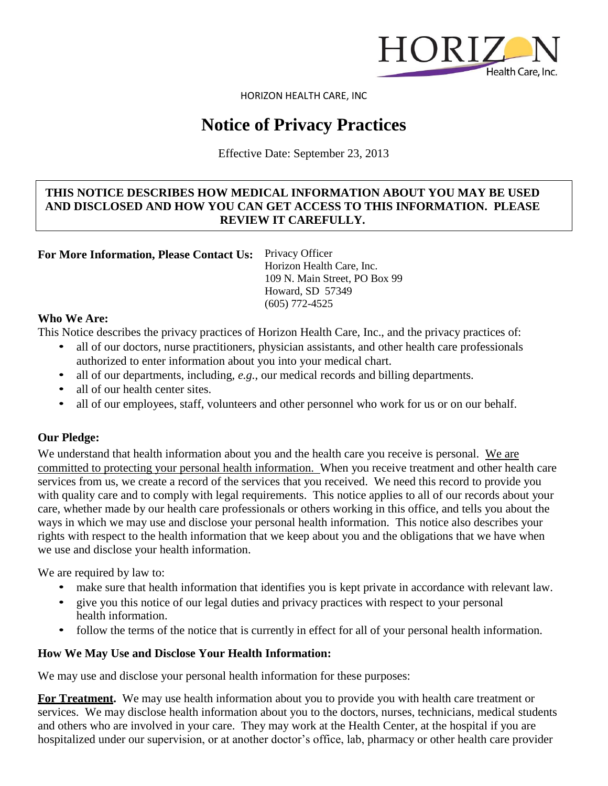

HORIZON HEALTH CARE, INC

# **Notice of Privacy Practices**

Effective Date: September 23, 2013

# **THIS NOTICE DESCRIBES HOW MEDICAL INFORMATION ABOUT YOU MAY BE USED AND DISCLOSED AND HOW YOU CAN GET ACCESS TO THIS INFORMATION. PLEASE REVIEW IT CAREFULLY.**

**For More Information, Please Contact Us:** Privacy Officer

Horizon Health Care, Inc. 109 N. Main Street, PO Box 99 Howard, SD 57349 (605) 772-4525

## **Who We Are:**

This Notice describes the privacy practices of Horizon Health Care, Inc., and the privacy practices of:

- all of our doctors, nurse practitioners, physician assistants, and other health care professionals authorized to enter information about you into your medical chart.
- all of our departments, including, *e.g.*, our medical records and billing departments.
- all of our health center sites.
- all of our employees, staff, volunteers and other personnel who work for us or on our behalf.

# **Our Pledge:**

We understand that health information about you and the health care you receive is personal. We are committed to protecting your personal health information. When you receive treatment and other health care services from us, we create a record of the services that you received. We need this record to provide you with quality care and to comply with legal requirements. This notice applies to all of our records about your care, whether made by our health care professionals or others working in this office, and tells you about the ways in which we may use and disclose your personal health information. This notice also describes your rights with respect to the health information that we keep about you and the obligations that we have when we use and disclose your health information.

We are required by law to:

- make sure that health information that identifies you is kept private in accordance with relevant law.
- give you this notice of our legal duties and privacy practices with respect to your personal health information.
- follow the terms of the notice that is currently in effect for all of your personal health information.

# **How We May Use and Disclose Your Health Information:**

We may use and disclose your personal health information for these purposes:

**For Treatment.** We may use health information about you to provide you with health care treatment or services. We may disclose health information about you to the doctors, nurses, technicians, medical students and others who are involved in your care. They may work at the Health Center, at the hospital if you are hospitalized under our supervision, or at another doctor's office, lab, pharmacy or other health care provider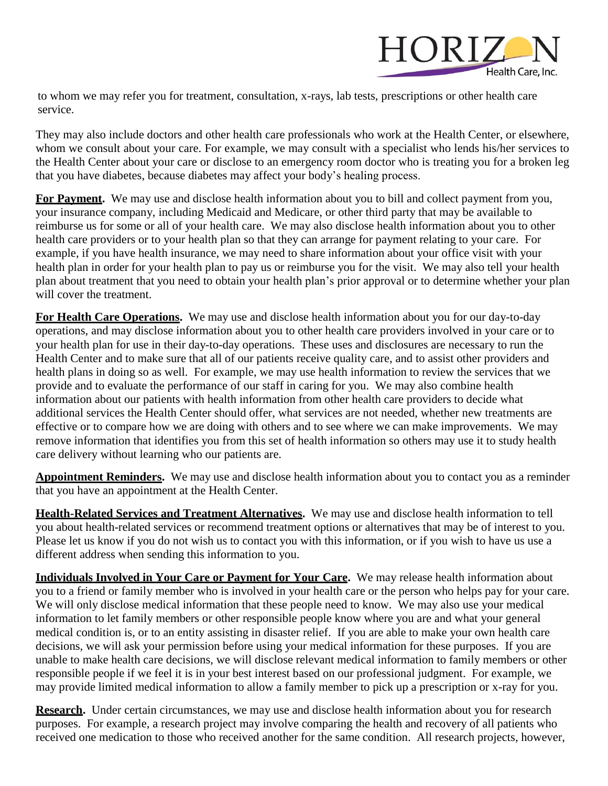

to whom we may refer you for treatment, consultation, x-rays, lab tests, prescriptions or other health care service.

They may also include doctors and other health care professionals who work at the Health Center, or elsewhere, whom we consult about your care. For example, we may consult with a specialist who lends his/her services to the Health Center about your care or disclose to an emergency room doctor who is treating you for a broken leg that you have diabetes, because diabetes may affect your body's healing process.

**For Payment.** We may use and disclose health information about you to bill and collect payment from you, your insurance company, including Medicaid and Medicare, or other third party that may be available to reimburse us for some or all of your health care. We may also disclose health information about you to other health care providers or to your health plan so that they can arrange for payment relating to your care. For example, if you have health insurance, we may need to share information about your office visit with your health plan in order for your health plan to pay us or reimburse you for the visit. We may also tell your health plan about treatment that you need to obtain your health plan's prior approval or to determine whether your plan will cover the treatment.

**For Health Care Operations.** We may use and disclose health information about you for our day-to-day operations, and may disclose information about you to other health care providers involved in your care or to your health plan for use in their day-to-day operations. These uses and disclosures are necessary to run the Health Center and to make sure that all of our patients receive quality care, and to assist other providers and health plans in doing so as well. For example, we may use health information to review the services that we provide and to evaluate the performance of our staff in caring for you. We may also combine health information about our patients with health information from other health care providers to decide what additional services the Health Center should offer, what services are not needed, whether new treatments are effective or to compare how we are doing with others and to see where we can make improvements. We may remove information that identifies you from this set of health information so others may use it to study health care delivery without learning who our patients are.

**Appointment Reminders.** We may use and disclose health information about you to contact you as a reminder that you have an appointment at the Health Center.

**Health-Related Services and Treatment Alternatives.** We may use and disclose health information to tell you about health-related services or recommend treatment options or alternatives that may be of interest to you. Please let us know if you do not wish us to contact you with this information, or if you wish to have us use a different address when sending this information to you.

**Individuals Involved in Your Care or Payment for Your Care.** We may release health information about you to a friend or family member who is involved in your health care or the person who helps pay for your care. We will only disclose medical information that these people need to know. We may also use your medical information to let family members or other responsible people know where you are and what your general medical condition is, or to an entity assisting in disaster relief. If you are able to make your own health care decisions, we will ask your permission before using your medical information for these purposes. If you are unable to make health care decisions, we will disclose relevant medical information to family members or other responsible people if we feel it is in your best interest based on our professional judgment. For example, we may provide limited medical information to allow a family member to pick up a prescription or x-ray for you.

**Research.** Under certain circumstances, we may use and disclose health information about you for research purposes. For example, a research project may involve comparing the health and recovery of all patients who received one medication to those who received another for the same condition. All research projects, however,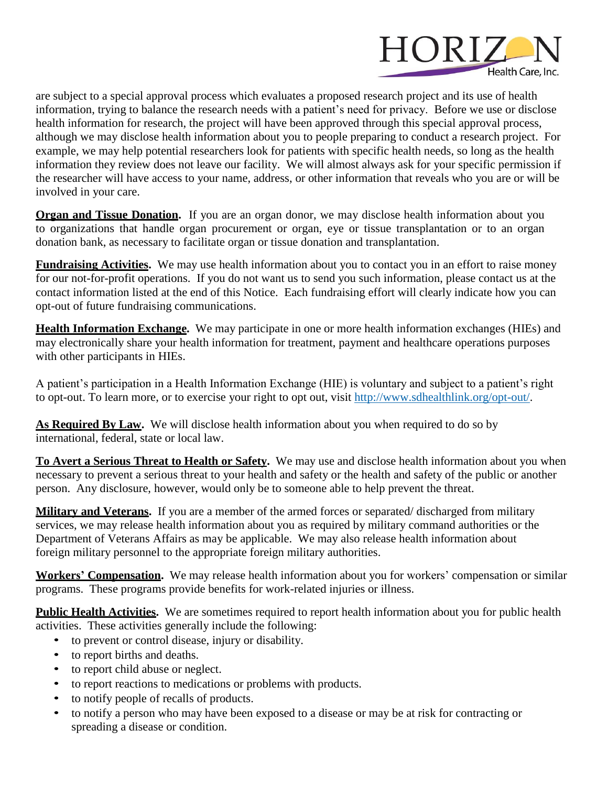

are subject to a special approval process which evaluates a proposed research project and its use of health information, trying to balance the research needs with a patient's need for privacy. Before we use or disclose health information for research, the project will have been approved through this special approval process, although we may disclose health information about you to people preparing to conduct a research project. For example, we may help potential researchers look for patients with specific health needs, so long as the health information they review does not leave our facility. We will almost always ask for your specific permission if the researcher will have access to your name, address, or other information that reveals who you are or will be involved in your care.

**Organ and Tissue Donation.** If you are an organ donor, we may disclose health information about you to organizations that handle organ procurement or organ, eye or tissue transplantation or to an organ donation bank, as necessary to facilitate organ or tissue donation and transplantation.

**Fundraising Activities.** We may use health information about you to contact you in an effort to raise money for our not-for-profit operations. If you do not want us to send you such information, please contact us at the contact information listed at the end of this Notice. Each fundraising effort will clearly indicate how you can opt-out of future fundraising communications.

**Health Information Exchange.** We may participate in one or more health information exchanges (HIEs) and may electronically share your health information for treatment, payment and healthcare operations purposes with other participants in HIEs.

A patient's participation in a Health Information Exchange (HIE) is voluntary and subject to a patient's right to opt-out. To learn more, or to exercise your right to opt out, visit [http://www.sdhealthlink.org/opt-out/.](http://www.sdhealthlink.org/opt-out/)

**As Required By Law.** We will disclose health information about you when required to do so by international, federal, state or local law.

**To Avert a Serious Threat to Health or Safety.** We may use and disclose health information about you when necessary to prevent a serious threat to your health and safety or the health and safety of the public or another person. Any disclosure, however, would only be to someone able to help prevent the threat.

**Military and Veterans.** If you are a member of the armed forces or separated/ discharged from military services, we may release health information about you as required by military command authorities or the Department of Veterans Affairs as may be applicable. We may also release health information about foreign military personnel to the appropriate foreign military authorities.

**Workers' Compensation.** We may release health information about you for workers' compensation or similar programs. These programs provide benefits for work-related injuries or illness.

**Public Health Activities.** We are sometimes required to report health information about you for public health activities. These activities generally include the following:

- to prevent or control disease, injury or disability.
- to report births and deaths.
- to report child abuse or neglect.
- to report reactions to medications or problems with products.
- to notify people of recalls of products.
- to notify a person who may have been exposed to a disease or may be at risk for contracting or spreading a disease or condition.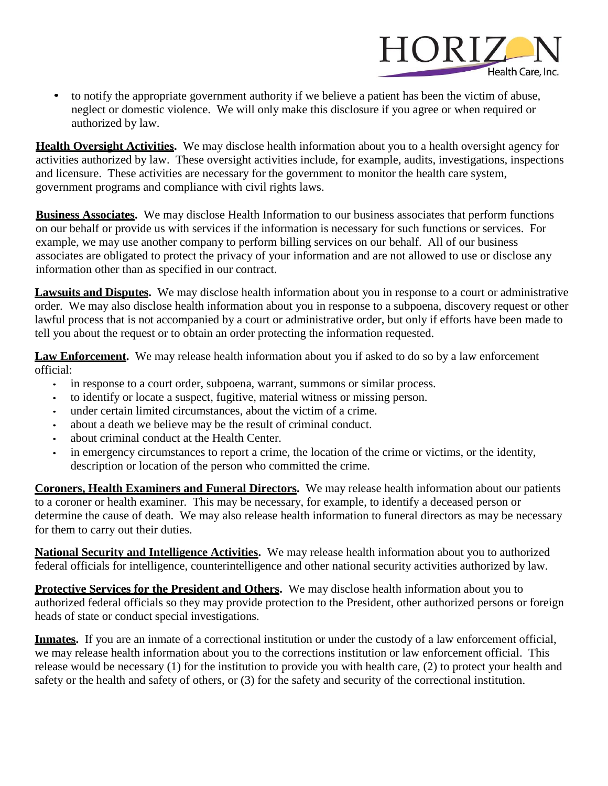

• to notify the appropriate government authority if we believe a patient has been the victim of abuse, neglect or domestic violence. We will only make this disclosure if you agree or when required or authorized by law.

**Health Oversight Activities.** We may disclose health information about you to a health oversight agency for activities authorized by law. These oversight activities include, for example, audits, investigations, inspections and licensure. These activities are necessary for the government to monitor the health care system, government programs and compliance with civil rights laws.

**Business Associates.** We may disclose Health Information to our business associates that perform functions on our behalf or provide us with services if the information is necessary for such functions or services. For example, we may use another company to perform billing services on our behalf. All of our business associates are obligated to protect the privacy of your information and are not allowed to use or disclose any information other than as specified in our contract.

**Lawsuits and Disputes.** We may disclose health information about you in response to a court or administrative order. We may also disclose health information about you in response to a subpoena, discovery request or other lawful process that is not accompanied by a court or administrative order, but only if efforts have been made to tell you about the request or to obtain an order protecting the information requested.

**Law Enforcement.** We may release health information about you if asked to do so by a law enforcement official:

- in response to a court order, subpoena, warrant, summons or similar process.
- to identify or locate a suspect, fugitive, material witness or missing person.
- under certain limited circumstances, about the victim of a crime.
- about a death we believe may be the result of criminal conduct.
- about criminal conduct at the Health Center.
- in emergency circumstances to report a crime, the location of the crime or victims, or the identity, description or location of the person who committed the crime.

**Coroners, Health Examiners and Funeral Directors.** We may release health information about our patients to a coroner or health examiner. This may be necessary, for example, to identify a deceased person or determine the cause of death. We may also release health information to funeral directors as may be necessary for them to carry out their duties.

**National Security and Intelligence Activities.** We may release health information about you to authorized federal officials for intelligence, counterintelligence and other national security activities authorized by law.

**Protective Services for the President and Others.** We may disclose health information about you to authorized federal officials so they may provide protection to the President, other authorized persons or foreign heads of state or conduct special investigations.

**Inmates.** If you are an inmate of a correctional institution or under the custody of a law enforcement official, we may release health information about you to the corrections institution or law enforcement official. This release would be necessary (1) for the institution to provide you with health care, (2) to protect your health and safety or the health and safety of others, or (3) for the safety and security of the correctional institution.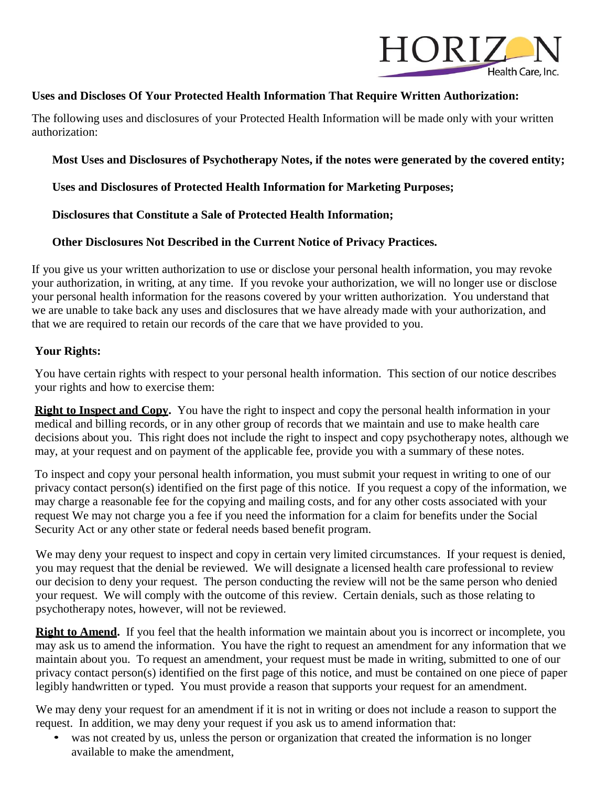

# **Uses and Discloses Of Your Protected Health Information That Require Written Authorization:**

The following uses and disclosures of your Protected Health Information will be made only with your written authorization:

**Most Uses and Disclosures of Psychotherapy Notes, if the notes were generated by the covered entity;**

**Uses and Disclosures of Protected Health Information for Marketing Purposes;**

**Disclosures that Constitute a Sale of Protected Health Information;**

**Other Disclosures Not Described in the Current Notice of Privacy Practices.**

If you give us your written authorization to use or disclose your personal health information, you may revoke your authorization, in writing, at any time. If you revoke your authorization, we will no longer use or disclose your personal health information for the reasons covered by your written authorization. You understand that we are unable to take back any uses and disclosures that we have already made with your authorization, and that we are required to retain our records of the care that we have provided to you.

## **Your Rights:**

You have certain rights with respect to your personal health information. This section of our notice describes your rights and how to exercise them:

**Right to Inspect and Copy.** You have the right to inspect and copy the personal health information in your medical and billing records, or in any other group of records that we maintain and use to make health care decisions about you. This right does not include the right to inspect and copy psychotherapy notes, although we may, at your request and on payment of the applicable fee, provide you with a summary of these notes.

To inspect and copy your personal health information, you must submit your request in writing to one of our privacy contact person(s) identified on the first page of this notice. If you request a copy of the information, we may charge a reasonable fee for the copying and mailing costs, and for any other costs associated with your request We may not charge you a fee if you need the information for a claim for benefits under the Social Security Act or any other state or federal needs based benefit program.

We may deny your request to inspect and copy in certain very limited circumstances. If your request is denied, you may request that the denial be reviewed. We will designate a licensed health care professional to review our decision to deny your request. The person conducting the review will not be the same person who denied your request. We will comply with the outcome of this review. Certain denials, such as those relating to psychotherapy notes, however, will not be reviewed.

**Right to Amend.** If you feel that the health information we maintain about you is incorrect or incomplete, you may ask us to amend the information. You have the right to request an amendment for any information that we maintain about you. To request an amendment, your request must be made in writing, submitted to one of our privacy contact person(s) identified on the first page of this notice, and must be contained on one piece of paper legibly handwritten or typed. You must provide a reason that supports your request for an amendment.

We may deny your request for an amendment if it is not in writing or does not include a reason to support the request. In addition, we may deny your request if you ask us to amend information that:

was not created by us, unless the person or organization that created the information is no longer available to make the amendment,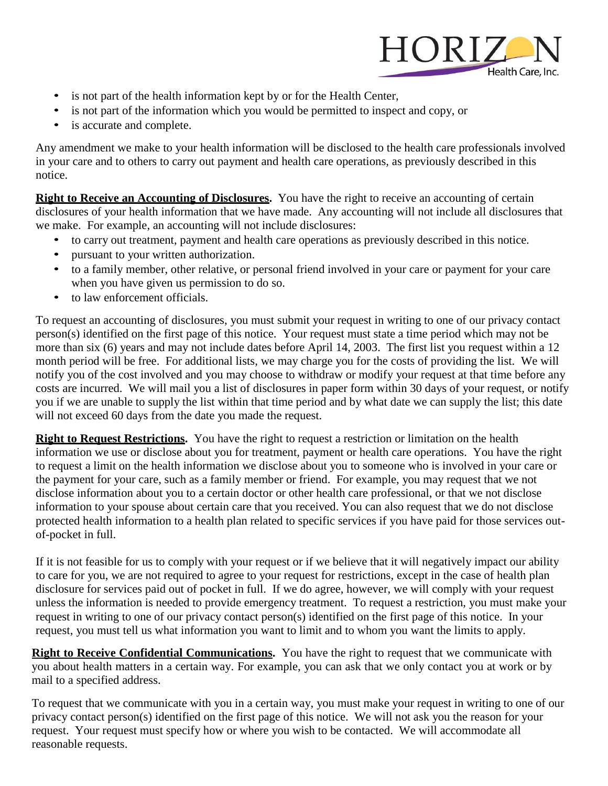

- is not part of the health information kept by or for the Health Center,
- is not part of the information which you would be permitted to inspect and copy, or
- is accurate and complete.

Any amendment we make to your health information will be disclosed to the health care professionals involved in your care and to others to carry out payment and health care operations, as previously described in this notice.

**Right to Receive an Accounting of Disclosures.** You have the right to receive an accounting of certain disclosures of your health information that we have made. Any accounting will not include all disclosures that we make. For example, an accounting will not include disclosures:

- to carry out treatment, payment and health care operations as previously described in this notice.
- pursuant to your written authorization.
- to a family member, other relative, or personal friend involved in your care or payment for your care when you have given us permission to do so.
- to law enforcement officials.

To request an accounting of disclosures, you must submit your request in writing to one of our privacy contact person(s) identified on the first page of this notice. Your request must state a time period which may not be more than six (6) years and may not include dates before April 14, 2003. The first list you request within a 12 month period will be free. For additional lists, we may charge you for the costs of providing the list. We will notify you of the cost involved and you may choose to withdraw or modify your request at that time before any costs are incurred. We will mail you a list of disclosures in paper form within 30 days of your request, or notify you if we are unable to supply the list within that time period and by what date we can supply the list; this date will not exceed 60 days from the date you made the request.

**Right to Request Restrictions.** You have the right to request a restriction or limitation on the health information we use or disclose about you for treatment, payment or health care operations. You have the right to request a limit on the health information we disclose about you to someone who is involved in your care or the payment for your care, such as a family member or friend. For example, you may request that we not disclose information about you to a certain doctor or other health care professional, or that we not disclose information to your spouse about certain care that you received. You can also request that we do not disclose protected health information to a health plan related to specific services if you have paid for those services outof-pocket in full.

If it is not feasible for us to comply with your request or if we believe that it will negatively impact our ability to care for you, we are not required to agree to your request for restrictions, except in the case of health plan disclosure for services paid out of pocket in full. If we do agree, however, we will comply with your request unless the information is needed to provide emergency treatment. To request a restriction, you must make your request in writing to one of our privacy contact person(s) identified on the first page of this notice. In your request, you must tell us what information you want to limit and to whom you want the limits to apply.

**Right to Receive Confidential Communications.** You have the right to request that we communicate with you about health matters in a certain way. For example, you can ask that we only contact you at work or by mail to a specified address.

To request that we communicate with you in a certain way, you must make your request in writing to one of our privacy contact person(s) identified on the first page of this notice. We will not ask you the reason for your request. Your request must specify how or where you wish to be contacted. We will accommodate all reasonable requests.